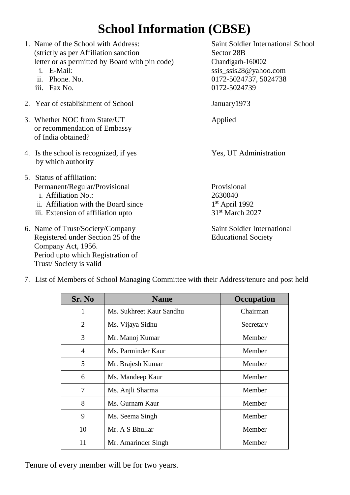# **School Information (CBSE)**

| 1. Name of the School with Address:<br>(strictly as per Affiliation sanction<br>letter or as permitted by Board with pin code)<br>i. E-Mail:<br>ii. Phone. No.<br>iii. Fax No. | <b>Saint Soldier International School</b><br>Sector 28B<br>Chandigarh-160002<br>ssis_ssis28@yahoo.com<br>0172-5024737, 5024738<br>0172-5024739 |
|--------------------------------------------------------------------------------------------------------------------------------------------------------------------------------|------------------------------------------------------------------------------------------------------------------------------------------------|
| 2. Year of establishment of School                                                                                                                                             | January 1973                                                                                                                                   |
| 3. Whether NOC from State/UT<br>or recommendation of Embassy<br>of India obtained?                                                                                             | Applied                                                                                                                                        |
| 4. Is the school is recognized, if yes<br>by which authority                                                                                                                   | Yes, UT Administration                                                                                                                         |
| 5. Status of affiliation:<br>Permanent/Regular/Provisional<br>i. Affiliation No.:<br>ii. Affiliation with the Board since<br>iii. Extension of affiliation upto                | Provisional<br>2630040<br>$1st$ April 1992<br>31 <sup>st</sup> March 2027                                                                      |
| 6. Name of Trust/Society/Company<br>Registered under Section 25 of the<br>Company Act, 1956.<br>Period upto which Registration of<br>Trust/Society is valid                    | <b>Saint Soldier International</b><br><b>Educational Society</b>                                                                               |

| Sr. No         | <b>Name</b>              | Occupation |
|----------------|--------------------------|------------|
| 1              | Ms. Sukhreet Kaur Sandhu | Chairman   |
| 2              | Ms. Vijaya Sidhu         | Secretary  |
| 3              | Mr. Manoj Kumar          | Member     |
| $\overline{4}$ | Ms. Parminder Kaur       | Member     |
| 5              | Mr. Brajesh Kumar        | Member     |
| 6              | Ms. Mandeep Kaur         | Member     |
| 7              | Ms. Anjli Sharma         | Member     |
| 8              | Ms. Gurnam Kaur          | Member     |
| 9              | Ms. Seema Singh          | Member     |
| 10             | Mr. A S Bhullar          | Member     |
| 11             | Mr. Amarinder Singh      | Member     |

7. List of Members of School Managing Committee with their Address/tenure and post held

Tenure of every member will be for two years.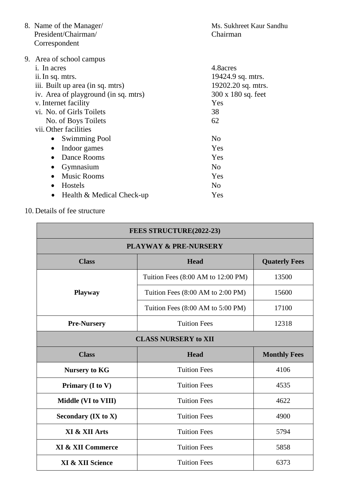| 19202.20 sq. mtrs. |
|--------------------|
| 300 x 180 sq. feet |
|                    |
|                    |
|                    |
|                    |
|                    |
|                    |
|                    |
|                    |
|                    |
|                    |
|                    |
| 19424.9 sq. mtrs.  |

10. Details of fee structure

| FEES STRUCTURE(2022-23)                             |                                                      |       |  |  |
|-----------------------------------------------------|------------------------------------------------------|-------|--|--|
| <b>PLAYWAY &amp; PRE-NURSERY</b>                    |                                                      |       |  |  |
| <b>Class</b><br><b>Head</b><br><b>Quaterly Fees</b> |                                                      |       |  |  |
|                                                     | Tuition Fees (8:00 AM to 12:00 PM)                   | 13500 |  |  |
| <b>Playway</b>                                      | Tuition Fees $(8:00 \text{ AM to } 2:00 \text{ PM})$ | 15600 |  |  |
|                                                     | Tuition Fees (8:00 AM to 5:00 PM)                    | 17100 |  |  |
| <b>Pre-Nursery</b>                                  | <b>Tuition Fees</b><br>12318                         |       |  |  |
| <b>CLASS NURSERY to XII</b>                         |                                                      |       |  |  |
| <b>Class</b>                                        | <b>Head</b><br><b>Monthly Fees</b>                   |       |  |  |
| <b>Nursery to KG</b>                                | <b>Tuition Fees</b>                                  | 4106  |  |  |
| Primary (I to V)                                    | <b>Tuition Fees</b>                                  | 4535  |  |  |
| Middle (VI to VIII)                                 | <b>Tuition Fees</b>                                  | 4622  |  |  |
| Secondary $(IX to X)$                               | <b>Tuition Fees</b><br>4900                          |       |  |  |
| XI & XII Arts                                       | <b>Tuition Fees</b><br>5794                          |       |  |  |
| <b>XI &amp; XII Commerce</b>                        | <b>Tuition Fees</b><br>5858                          |       |  |  |
| XI & XII Science                                    | <b>Tuition Fees</b>                                  | 6373  |  |  |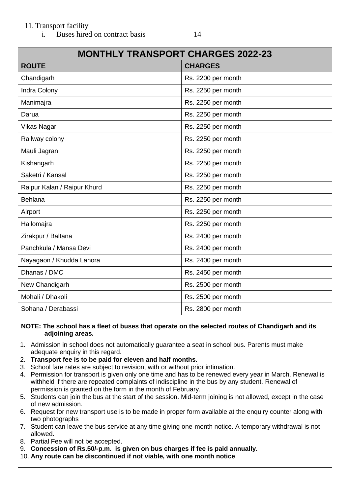### 11. Transport facility

i. Buses hired on contract basis 14

| <b>MONTHLY TRANSPORT CHARGES 2022-23</b> |                    |  |  |
|------------------------------------------|--------------------|--|--|
| <b>ROUTE</b>                             | <b>CHARGES</b>     |  |  |
| Chandigarh                               | Rs. 2200 per month |  |  |
| <b>Indra Colony</b>                      | Rs. 2250 per month |  |  |
| Manimajra                                | Rs. 2250 per month |  |  |
| Darua                                    | Rs. 2250 per month |  |  |
| <b>Vikas Nagar</b>                       | Rs. 2250 per month |  |  |
| Railway colony                           | Rs. 2250 per month |  |  |
| Mauli Jagran                             | Rs. 2250 per month |  |  |
| Kishangarh                               | Rs. 2250 per month |  |  |
| Saketri / Kansal                         | Rs. 2250 per month |  |  |
| Raipur Kalan / Raipur Khurd              | Rs. 2250 per month |  |  |
| Behlana                                  | Rs. 2250 per month |  |  |
| Airport                                  | Rs. 2250 per month |  |  |
| Hallomajra                               | Rs. 2250 per month |  |  |
| Zirakpur / Baltana                       | Rs. 2400 per month |  |  |
| Panchkula / Mansa Devi                   | Rs. 2400 per month |  |  |
| Nayagaon / Khudda Lahora                 | Rs. 2400 per month |  |  |
| Dhanas / DMC                             | Rs. 2450 per month |  |  |
| New Chandigarh                           | Rs. 2500 per month |  |  |
| Mohali / Dhakoli                         | Rs. 2500 per month |  |  |
| Sohana / Derabassi                       | Rs. 2800 per month |  |  |

#### **NOTE: The school has a fleet of buses that operate on the selected routes of Chandigarh and its adjoining areas.**

- 1. Admission in school does not automatically guarantee a seat in school bus. Parents must make adequate enquiry in this regard.
- 2. **Transport fee is to be paid for eleven and half months.**
- 3. School fare rates are subject to revision, with or without prior intimation.
- 4. Permission for transport is given only one time and has to be renewed every year in March. Renewal is withheld if there are repeated complaints of indiscipline in the bus by any student. Renewal of permission is granted on the form in the month of February.
- 5. Students can join the bus at the start of the session. Mid-term joining is not allowed, except in the case of new admission.
- 6. Request for new transport use is to be made in proper form available at the enquiry counter along with two photographs
- 7. Student can leave the bus service at any time giving one-month notice. A temporary withdrawal is not allowed.
- 8. Partial Fee will not be accepted.
- 9. **Concession of Rs.50/-p.m. is given on bus charges if fee is paid annually.**
- 10. **Any route can be discontinued if not viable, with one month notice**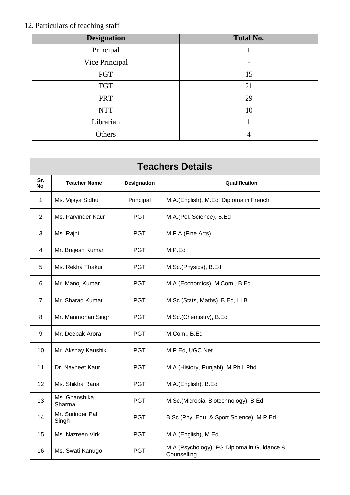## 12. Particulars of teaching staff

| <b>Designation</b> | <b>Total No.</b> |
|--------------------|------------------|
| Principal          |                  |
| Vice Principal     |                  |
| <b>PGT</b>         | 15               |
| <b>TGT</b>         | 21               |
| <b>PRT</b>         | 29               |
| <b>NTT</b>         | 10               |
| Librarian          |                  |
| Others             |                  |

| <b>Teachers Details</b> |                           |                    |                                                           |  |
|-------------------------|---------------------------|--------------------|-----------------------------------------------------------|--|
| Sr.<br>No.              | <b>Teacher Name</b>       | <b>Designation</b> | Qualification                                             |  |
| $\mathbf{1}$            | Ms. Vijaya Sidhu          | Principal          | M.A.(English), M.Ed, Diploma in French                    |  |
| 2                       | Ms. Parvinder Kaur        | <b>PGT</b>         | M.A.(Pol. Science), B.Ed                                  |  |
| 3                       | Ms. Rajni                 | <b>PGT</b>         | M.F.A.(Fine Arts)                                         |  |
| 4                       | Mr. Brajesh Kumar         | <b>PGT</b>         | M.P.Ed                                                    |  |
| 5                       | Ms. Rekha Thakur          | PGT.               | M.Sc.(Physics), B.Ed                                      |  |
| 6                       | Mr. Manoj Kumar           | <b>PGT</b>         | M.A.(Economics), M.Com., B.Ed                             |  |
| 7                       | Mr. Sharad Kumar          | <b>PGT</b>         | M.Sc.(Stats, Maths), B.Ed, LLB.                           |  |
| 8                       | Mr. Manmohan Singh        | <b>PGT</b>         | M.Sc.(Chemistry), B.Ed                                    |  |
| 9                       | Mr. Deepak Arora          | <b>PGT</b>         | M.Com., B.Ed                                              |  |
| 10                      | Mr. Akshay Kaushik        | PGT                | M.P.Ed, UGC Net                                           |  |
| 11                      | Dr. Navneet Kaur          | <b>PGT</b>         | M.A.(History, Punjabi), M.Phil, Phd                       |  |
| 12                      | Ms. Shikha Rana           | <b>PGT</b>         | M.A.(English), B.Ed                                       |  |
| 13                      | Ms. Ghanshika<br>Sharma   | <b>PGT</b>         | M.Sc.(Microbial Biotechnology), B.Ed                      |  |
| 14                      | Mr. Surinder Pal<br>Singh | <b>PGT</b>         | B.Sc.(Phy. Edu. & Sport Science), M.P.Ed                  |  |
| 15                      | Ms. Nazreen Virk          | <b>PGT</b>         | M.A.(English), M.Ed                                       |  |
| 16                      | Ms. Swati Kanugo          | <b>PGT</b>         | M.A.(Psychology), PG Diploma in Guidance &<br>Counselling |  |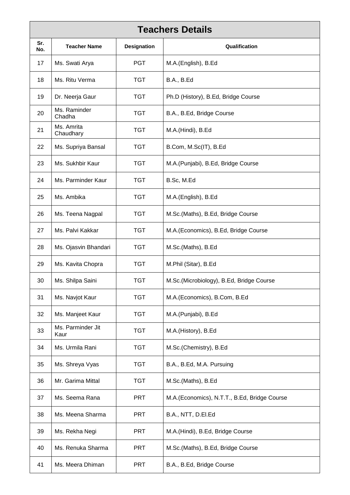| <b>Teachers Details</b> |                           |                    |                                              |  |
|-------------------------|---------------------------|--------------------|----------------------------------------------|--|
| Sr.<br>No.              | <b>Teacher Name</b>       | <b>Designation</b> | Qualification                                |  |
| 17                      | Ms. Swati Arya            | <b>PGT</b>         | M.A.(English), B.Ed                          |  |
| 18                      | Ms. Ritu Verma            | <b>TGT</b>         | <b>B.A., B.Ed</b>                            |  |
| 19                      | Dr. Neerja Gaur           | <b>TGT</b>         | Ph.D (History), B.Ed, Bridge Course          |  |
| 20                      | Ms. Raminder<br>Chadha    | <b>TGT</b>         | B.A., B.Ed, Bridge Course                    |  |
| 21                      | Ms. Amrita<br>Chaudhary   | <b>TGT</b>         | M.A.(Hindi), B.Ed                            |  |
| 22                      | Ms. Supriya Bansal        | <b>TGT</b>         | B.Com, M.Sc(IT), B.Ed                        |  |
| 23                      | Ms. Sukhbir Kaur          | <b>TGT</b>         | M.A.(Punjabi), B.Ed, Bridge Course           |  |
| 24                      | Ms. Parminder Kaur        | <b>TGT</b>         | B.Sc, M.Ed                                   |  |
| 25                      | Ms. Ambika                | <b>TGT</b>         | M.A.(English), B.Ed                          |  |
| 26                      | Ms. Teena Nagpal          | <b>TGT</b>         | M.Sc.(Maths), B.Ed, Bridge Course            |  |
| 27                      | Ms. Palvi Kakkar          | <b>TGT</b>         | M.A. (Economics), B.Ed, Bridge Course        |  |
| 28                      | Ms. Ojasvin Bhandari      | <b>TGT</b>         | M.Sc.(Maths), B.Ed                           |  |
| 29                      | Ms. Kavita Chopra         | <b>TGT</b>         | M.Phil (Sitar), B.Ed                         |  |
| 30                      | Ms. Shilpa Saini          | <b>TGT</b>         | M.Sc.(Microbiology), B.Ed, Bridge Course     |  |
| 31                      | Ms. Navjot Kaur           | <b>TGT</b>         | M.A.(Economics), B.Com, B.Ed                 |  |
| 32                      | Ms. Manjeet Kaur          | <b>TGT</b>         | M.A.(Punjabi), B.Ed                          |  |
| 33                      | Ms. Parminder Jit<br>Kaur | TGT                | M.A.(History), B.Ed                          |  |
| 34                      | Ms. Urmila Rani           | <b>TGT</b>         | M.Sc.(Chemistry), B.Ed                       |  |
| 35                      | Ms. Shreya Vyas           | <b>TGT</b>         | B.A., B.Ed, M.A. Pursuing                    |  |
| 36                      | Mr. Garima Mittal         | <b>TGT</b>         | M.Sc.(Maths), B.Ed                           |  |
| 37                      | Ms. Seema Rana            | <b>PRT</b>         | M.A.(Economics), N.T.T., B.Ed, Bridge Course |  |
| 38                      | Ms. Meena Sharma          | <b>PRT</b>         | B.A., NTT, D.El.Ed                           |  |
| 39                      | Ms. Rekha Negi            | <b>PRT</b>         | M.A.(Hindi), B.Ed, Bridge Course             |  |
| 40                      | Ms. Renuka Sharma         | <b>PRT</b>         | M.Sc.(Maths), B.Ed, Bridge Course            |  |
| 41                      | Ms. Meera Dhiman          | PRT                | B.A., B.Ed, Bridge Course                    |  |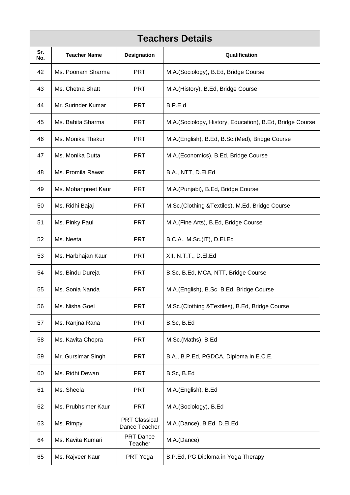|            | <b>Teachers Details</b> |                                       |                                                           |  |
|------------|-------------------------|---------------------------------------|-----------------------------------------------------------|--|
| Sr.<br>No. | <b>Teacher Name</b>     | <b>Designation</b><br>Qualification   |                                                           |  |
| 42         | Ms. Poonam Sharma       | <b>PRT</b>                            | M.A.(Sociology), B.Ed, Bridge Course                      |  |
| 43         | Ms. Chetna Bhatt        | <b>PRT</b>                            | M.A.(History), B.Ed, Bridge Course                        |  |
| 44         | Mr. Surinder Kumar      | PRT                                   | B.P.E.d                                                   |  |
| 45         | Ms. Babita Sharma       | <b>PRT</b>                            | M.A. (Sociology, History, Education), B.Ed, Bridge Course |  |
| 46         | Ms. Monika Thakur       | <b>PRT</b>                            | M.A.(English), B.Ed, B.Sc.(Med), Bridge Course            |  |
| 47         | Ms. Monika Dutta        | <b>PRT</b>                            | M.A.(Economics), B.Ed, Bridge Course                      |  |
| 48         | Ms. Promila Rawat       | <b>PRT</b>                            | B.A., NTT, D.El.Ed                                        |  |
| 49         | Ms. Mohanpreet Kaur     | PRT                                   | M.A. (Punjabi), B.Ed, Bridge Course                       |  |
| 50         | Ms. Ridhi Bajaj         | <b>PRT</b>                            | M.Sc. (Clothing & Textiles), M.Ed, Bridge Course          |  |
| 51         | Ms. Pinky Paul          | <b>PRT</b>                            | M.A. (Fine Arts), B.Ed, Bridge Course                     |  |
| 52         | Ms. Neeta               | PRT                                   | B.C.A., M.Sc.(IT), D.EI.Ed                                |  |
| 53         | Ms. Harbhajan Kaur      | <b>PRT</b>                            | XII, N.T.T., D.El.Ed                                      |  |
| 54         | Ms. Bindu Dureja        | <b>PRT</b>                            | B.Sc, B.Ed, MCA, NTT, Bridge Course                       |  |
| 55         | Ms. Sonia Nanda         | <b>PRT</b>                            | M.A.(English), B.Sc, B.Ed, Bridge Course                  |  |
| 56         | Ms. Nisha Goel          | <b>PRT</b>                            | M.Sc. (Clothing & Textiles), B.Ed, Bridge Course          |  |
| 57         | Ms. Ranjna Rana         | <b>PRT</b>                            | B.Sc, B.Ed                                                |  |
| 58         | Ms. Kavita Chopra       | <b>PRT</b>                            | M.Sc.(Maths), B.Ed                                        |  |
| 59         | Mr. Gursimar Singh      | <b>PRT</b>                            | B.A., B.P.Ed, PGDCA, Diploma in E.C.E.                    |  |
| 60         | Ms. Ridhi Dewan         | <b>PRT</b>                            | B.Sc, B.Ed                                                |  |
| 61         | Ms. Sheela              | PRT                                   | M.A.(English), B.Ed                                       |  |
| 62         | Ms. Prubhsimer Kaur     | <b>PRT</b>                            | M.A.(Sociology), B.Ed                                     |  |
| 63         | Ms. Rimpy               | <b>PRT Classical</b><br>Dance Teacher | M.A.(Dance), B.Ed, D.El.Ed                                |  |
| 64         | Ms. Kavita Kumari       | PRT Dance<br>Teacher                  | M.A.(Dance)                                               |  |
| 65         | Ms. Rajveer Kaur        | PRT Yoga                              | B.P.Ed, PG Diploma in Yoga Therapy                        |  |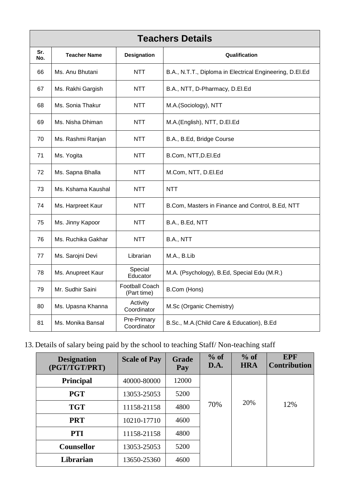|            | <b>Teachers Details</b> |                                      |                                                          |  |
|------------|-------------------------|--------------------------------------|----------------------------------------------------------|--|
| Sr.<br>No. | <b>Teacher Name</b>     | <b>Designation</b>                   | Qualification                                            |  |
| 66         | Ms. Anu Bhutani         | <b>NTT</b>                           | B.A., N.T.T., Diploma in Electrical Engineering, D.El.Ed |  |
| 67         | Ms. Rakhi Gargish       | <b>NTT</b>                           | B.A., NTT, D-Pharmacy, D.El.Ed                           |  |
| 68         | Ms. Sonia Thakur        | <b>NTT</b>                           | M.A.(Sociology), NTT                                     |  |
| 69         | Ms. Nisha Dhiman        | <b>NTT</b>                           | M.A.(English), NTT, D.El.Ed                              |  |
| 70         | Ms. Rashmi Ranjan       | <b>NTT</b>                           | B.A., B.Ed, Bridge Course                                |  |
| 71         | Ms. Yogita              | <b>NTT</b>                           | B.Com, NTT, D.EI.Ed                                      |  |
| 72         | Ms. Sapna Bhalla        | <b>NTT</b>                           | M.Com, NTT, D.El.Ed                                      |  |
| 73         | Ms. Kshama Kaushal      | <b>NTT</b>                           | <b>NTT</b>                                               |  |
| 74         | Ms. Harpreet Kaur       | <b>NTT</b>                           | B.Com, Masters in Finance and Control, B.Ed, NTT         |  |
| 75         | Ms. Jinny Kapoor        | <b>NTT</b>                           | B.A., B.Ed, NTT                                          |  |
| 76         | Ms. Ruchika Gakhar      | <b>NTT</b>                           | B.A., NTT                                                |  |
| 77         | Ms. Sarojni Devi        | Librarian                            | M.A., B.Lib                                              |  |
| 78         | Ms. Anupreet Kaur       | Special<br>Educator                  | M.A. (Psychology), B.Ed, Special Edu (M.R.)              |  |
| 79         | Mr. Sudhir Saini        | <b>Football Coach</b><br>(Part time) | B.Com (Hons)                                             |  |
| 80         | Ms. Upasna Khanna       | Activity<br>Coordinator              | M.Sc (Organic Chemistry)                                 |  |
| 81         | Ms. Monika Bansal       | Pre-Primary<br>Coordinator           | B.Sc., M.A.(Child Care & Education), B.Ed                |  |

## 13. Details of salary being paid by the school to teaching Staff/ Non-teaching staff

| <b>Designation</b><br>(PGT/TGT/PRT) | <b>Scale of Pay</b> | Grade<br>Pay | $%$ of<br>$\mathbf{D}.\mathbf{A}$ . | $%$ of<br><b>HRA</b> | <b>EPF</b><br><b>Contribution</b> |
|-------------------------------------|---------------------|--------------|-------------------------------------|----------------------|-----------------------------------|
| Principal                           | 40000-80000         | 12000        |                                     |                      |                                   |
| <b>PGT</b>                          | 13053-25053         | 5200         |                                     |                      |                                   |
| <b>TGT</b>                          | 11158-21158         | 4800         | 70%                                 | 20%                  | 12%                               |
| <b>PRT</b>                          | 10210-17710         | 4600         |                                     |                      |                                   |
| <b>PTI</b>                          | 11158-21158         | 4800         |                                     |                      |                                   |
| <b>Counsellor</b>                   | 13053-25053         | 5200         |                                     |                      |                                   |
| Librarian                           | 13650-25360         | 4600         |                                     |                      |                                   |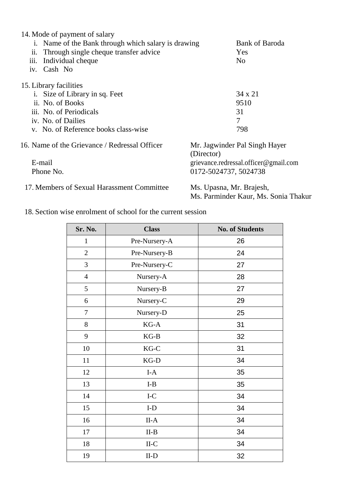| 14. Mode of payment of salary<br>i. Name of the Bank through which salary is drawing<br>ii. Through single cheque transfer advice<br>Individual cheque<br>111.<br>Cash No<br>$\overline{1}V$ . | <b>Bank of Baroda</b><br>Yes<br>N <sub>0</sub> |
|------------------------------------------------------------------------------------------------------------------------------------------------------------------------------------------------|------------------------------------------------|
| 15. Library facilities                                                                                                                                                                         |                                                |
| i. Size of Library in sq. Feet                                                                                                                                                                 | $34 \times 21$                                 |
| ii. No. of Books                                                                                                                                                                               | 9510                                           |
| iii. No. of Periodicals                                                                                                                                                                        | 31                                             |
| iv. No. of Dailies                                                                                                                                                                             | 7                                              |
| v. No. of Reference books class-wise                                                                                                                                                           | 798                                            |
| 16. Name of the Grievance / Redressal Officer                                                                                                                                                  | Mr. Jagwinder Pal Singh Hayer<br>(Director)    |
| E-mail                                                                                                                                                                                         | grievance.redressal.officer@gmail.com          |
| Phone No.                                                                                                                                                                                      | 0172-5024737, 5024738                          |
| 17. Members of Sexual Harassment Committee                                                                                                                                                     | Ms. Upasna, Mr. Brajesh,                       |
|                                                                                                                                                                                                | Ms. Parminder Kaur, Ms. Sonia Thakur           |

18. Section wise enrolment of school for the current session

| Sr. No.        | <b>Class</b>     | <b>No. of Students</b> |
|----------------|------------------|------------------------|
| $\mathbf{1}$   | Pre-Nursery-A    | 26                     |
| $\overline{2}$ | Pre-Nursery-B    | 24                     |
| 3              | Pre-Nursery-C    | 27                     |
| $\overline{4}$ | Nursery-A        | 28                     |
| 5              | Nursery-B        | 27                     |
| 6              | Nursery-C        | 29                     |
| $\overline{7}$ | Nursery-D        | 25                     |
| 8              | $KG-A$           | 31                     |
| 9              | $KG-B$           | 32                     |
| 10             | $KG-C$           | 31                     |
| 11             | $KG-D$           | 34                     |
| 12             | $\mbox{I-A}$     | 35                     |
| 13             | $I-B$            | 35                     |
| 14             | $\rm I\text{-}C$ | 34                     |
| 15             | $\mbox{\rm I-D}$ | 34                     |
| 16             | $II-A$           | 34                     |
| 17             | $II-B$           | 34                     |
| 18             | $II-C$           | 34                     |
| 19             | $II-D$           | 32                     |